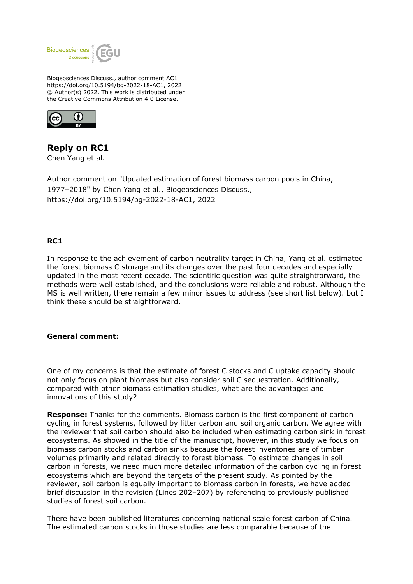

Biogeosciences Discuss., author comment AC1 https://doi.org/10.5194/bg-2022-18-AC1, 2022 © Author(s) 2022. This work is distributed under the Creative Commons Attribution 4.0 License.



## **Reply on RC1**

Chen Yang et al.

Author comment on "Updated estimation of forest biomass carbon pools in China, 1977–2018" by Chen Yang et al., Biogeosciences Discuss., https://doi.org/10.5194/bg-2022-18-AC1, 2022

## **RC1**

In response to the achievement of carbon neutrality target in China, Yang et al. estimated the forest biomass C storage and its changes over the past four decades and especially updated in the most recent decade. The scientific question was quite straightforward, the methods were well established, and the conclusions were reliable and robust. Although the MS is well written, there remain a few minor issues to address (see short list below). but I think these should be straightforward.

## **General comment:**

One of my concerns is that the estimate of forest C stocks and C uptake capacity should not only focus on plant biomass but also consider soil C sequestration. Additionally, compared with other biomass estimation studies, what are the advantages and innovations of this study?

**Response:** Thanks for the comments. Biomass carbon is the first component of carbon cycling in forest systems, followed by litter carbon and soil organic carbon. We agree with the reviewer that soil carbon should also be included when estimating carbon sink in forest ecosystems. As showed in the title of the manuscript, however, in this study we focus on biomass carbon stocks and carbon sinks because the forest inventories are of timber volumes primarily and related directly to forest biomass. To estimate changes in soil carbon in forests, we need much more detailed information of the carbon cycling in forest ecosystems which are beyond the targets of the present study. As pointed by the reviewer, soil carbon is equally important to biomass carbon in forests, we have added brief discussion in the revision (Lines 202–207) by referencing to previously published studies of forest soil carbon.

There have been published literatures concerning national scale forest carbon of China. The estimated carbon stocks in those studies are less comparable because of the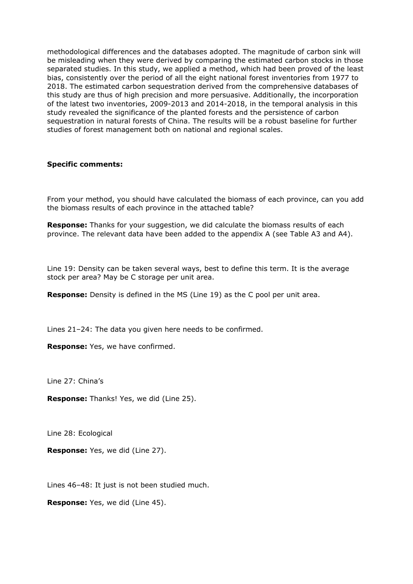methodological differences and the databases adopted. The magnitude of carbon sink will be misleading when they were derived by comparing the estimated carbon stocks in those separated studies. In this study, we applied a method, which had been proved of the least bias, consistently over the period of all the eight national forest inventories from 1977 to 2018. The estimated carbon sequestration derived from the comprehensive databases of this study are thus of high precision and more persuasive. Additionally, the incorporation of the latest two inventories, 2009-2013 and 2014-2018, in the temporal analysis in this study revealed the significance of the planted forests and the persistence of carbon sequestration in natural forests of China. The results will be a robust baseline for further studies of forest management both on national and regional scales.

## **Specific comments:**

From your method, you should have calculated the biomass of each province, can you add the biomass results of each province in the attached table?

**Response:** Thanks for your suggestion, we did calculate the biomass results of each province. The relevant data have been added to the appendix A (see Table A3 and A4).

Line 19: Density can be taken several ways, best to define this term. It is the average stock per area? May be C storage per unit area.

**Response:** Density is defined in the MS (Line 19) as the C pool per unit area.

Lines 21–24: The data you given here needs to be confirmed.

**Response:** Yes, we have confirmed.

Line 27: China's

**Response:** Thanks! Yes, we did (Line 25).

Line 28: Ecological

**Response:** Yes, we did (Line 27).

Lines 46–48: It just is not been studied much.

**Response:** Yes, we did (Line 45).